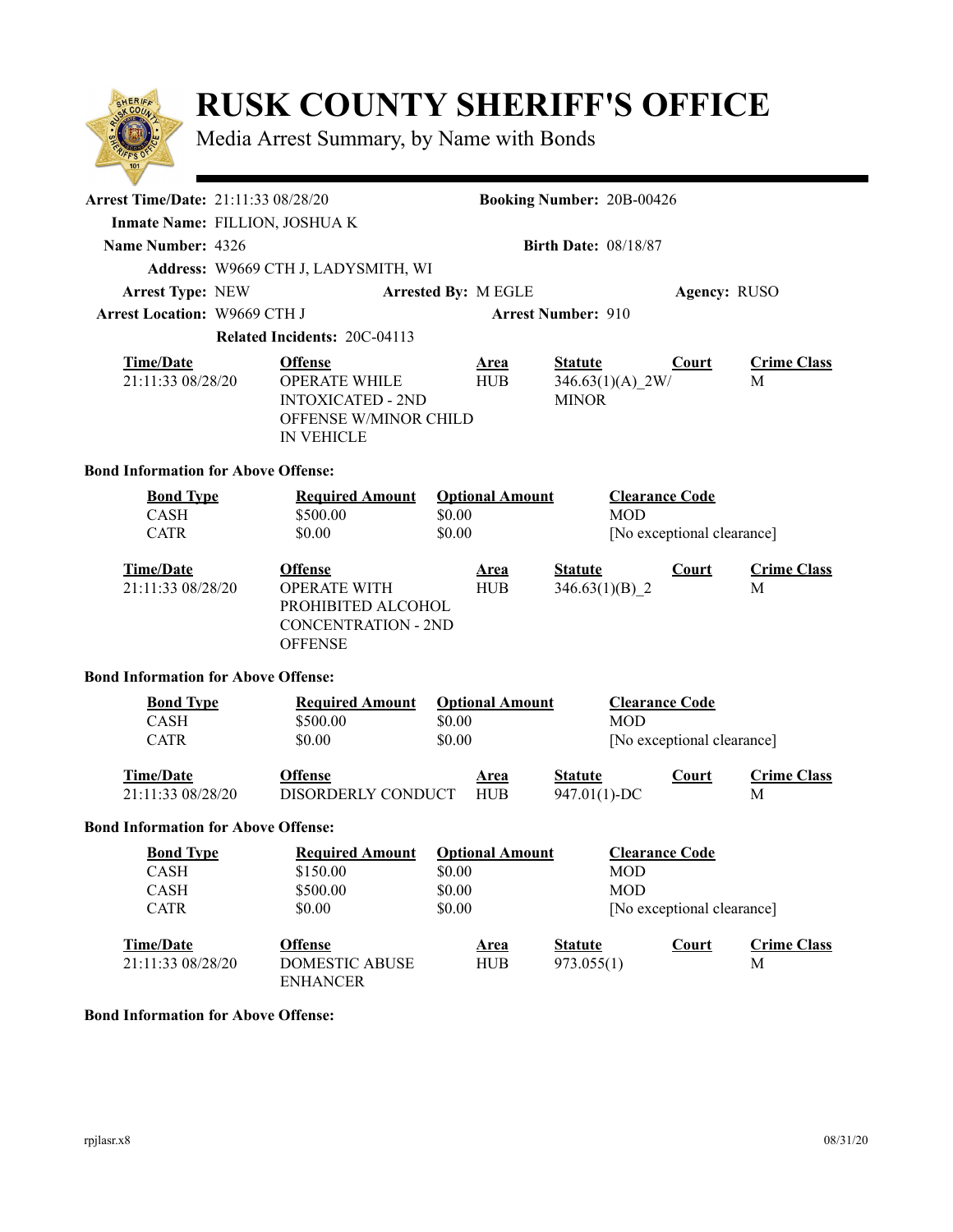## **RUSK COUNTY SHERIFF'S OFFICE**

Media Arrest Summary, by Name with Bonds

| $\sim$                                         |                                                                              |                                                                                                                  |                                                      |                           |                                    |                                                                          |                            |                         |  |
|------------------------------------------------|------------------------------------------------------------------------------|------------------------------------------------------------------------------------------------------------------|------------------------------------------------------|---------------------------|------------------------------------|--------------------------------------------------------------------------|----------------------------|-------------------------|--|
|                                                | Arrest Time/Date: 21:11:33 08/28/20<br><b>Booking Number: 20B-00426</b>      |                                                                                                                  |                                                      |                           |                                    |                                                                          |                            |                         |  |
| Inmate Name: FILLION, JOSHUA K                 |                                                                              |                                                                                                                  |                                                      |                           |                                    |                                                                          |                            |                         |  |
| Name Number: 4326                              | <b>Birth Date: 08/18/87</b>                                                  |                                                                                                                  |                                                      |                           |                                    |                                                                          |                            |                         |  |
|                                                |                                                                              | Address: W9669 CTH J, LADYSMITH, WI                                                                              |                                                      |                           |                                    |                                                                          |                            |                         |  |
| <b>Arrest Type: NEW</b>                        |                                                                              |                                                                                                                  |                                                      | Arrested By: M EGLE       |                                    |                                                                          | Agency: RUSO               |                         |  |
| <b>Arrest Location: W9669 CTH J</b>            |                                                                              |                                                                                                                  |                                                      |                           | <b>Arrest Number: 910</b>          |                                                                          |                            |                         |  |
|                                                | <b>Related Incidents: 20C-04113</b>                                          |                                                                                                                  |                                                      |                           |                                    |                                                                          |                            |                         |  |
| <b>Time/Date</b><br>21:11:33 08/28/20          |                                                                              | <b>Offense</b><br><b>OPERATE WHILE</b><br><b>INTOXICATED - 2ND</b><br>OFFENSE W/MINOR CHILD<br><b>IN VEHICLE</b> |                                                      | <b>Area</b><br><b>HUB</b> | <b>Statute</b><br><b>MINOR</b>     | $346.63(1)(A)$ 2W/                                                       | Court                      | <b>Crime Class</b><br>M |  |
| <b>Bond Information for Above Offense:</b>     |                                                                              |                                                                                                                  |                                                      |                           |                                    |                                                                          |                            |                         |  |
| <b>Bond Type</b><br><b>CASH</b><br><b>CATR</b> |                                                                              | <b>Required Amount</b><br>\$500.00<br>\$0.00                                                                     | \$0.00<br>\$0.00                                     | <b>Optional Amount</b>    |                                    | <b>Clearance Code</b><br><b>MOD</b>                                      | [No exceptional clearance] |                         |  |
| <b>Time/Date</b><br>21:11:33 08/28/20          |                                                                              | <b>Offense</b><br><b>OPERATE WITH</b><br>PROHIBITED ALCOHOL<br><b>CONCENTRATION - 2ND</b><br><b>OFFENSE</b>      |                                                      | <b>Area</b><br><b>HUB</b> | <b>Statute</b><br>$346.63(1)(B)$ 2 |                                                                          | Court                      | <b>Crime Class</b><br>M |  |
| <b>Bond Information for Above Offense:</b>     |                                                                              |                                                                                                                  |                                                      |                           |                                    |                                                                          |                            |                         |  |
| <b>Bond Type</b><br><b>CASH</b><br><b>CATR</b> |                                                                              | <b>Required Amount</b><br>\$500.00<br>\$0.00                                                                     | \$0.00<br>\$0.00                                     | <b>Optional Amount</b>    |                                    | <b>Clearance Code</b><br><b>MOD</b>                                      | [No exceptional clearance] |                         |  |
| <b>Time/Date</b><br>21:11:33 08/28/20          |                                                                              | <b>Offense</b><br>DISORDERLY CONDUCT                                                                             |                                                      | <u>Area</u><br><b>HUB</b> | <b>Statute</b><br>947.01(1)-DC     |                                                                          | <b>Court</b>               | <b>Crime Class</b><br>M |  |
| <b>Bond Information for Above Offense:</b>     |                                                                              |                                                                                                                  |                                                      |                           |                                    |                                                                          |                            |                         |  |
| <b>CASH</b><br>CASH<br><b>CATR</b>             | <b>Required Amount</b><br><b>Bond Type</b><br>\$150.00<br>\$500.00<br>\$0.00 |                                                                                                                  | <b>Optional Amount</b><br>\$0.00<br>\$0.00<br>\$0.00 |                           |                                    | <b>Clearance Code</b><br>MOD<br><b>MOD</b><br>[No exceptional clearance] |                            |                         |  |
| <b>Time/Date</b><br>21:11:33 08/28/20          |                                                                              | <b>Offense</b><br><b>DOMESTIC ABUSE</b><br><b>ENHANCER</b>                                                       |                                                      | <b>Area</b><br><b>HUB</b> | <b>Statute</b><br>973.055(1)       |                                                                          | Court                      | <b>Crime Class</b><br>M |  |
|                                                |                                                                              |                                                                                                                  |                                                      |                           |                                    |                                                                          |                            |                         |  |

## **Bond Information for Above Offense:**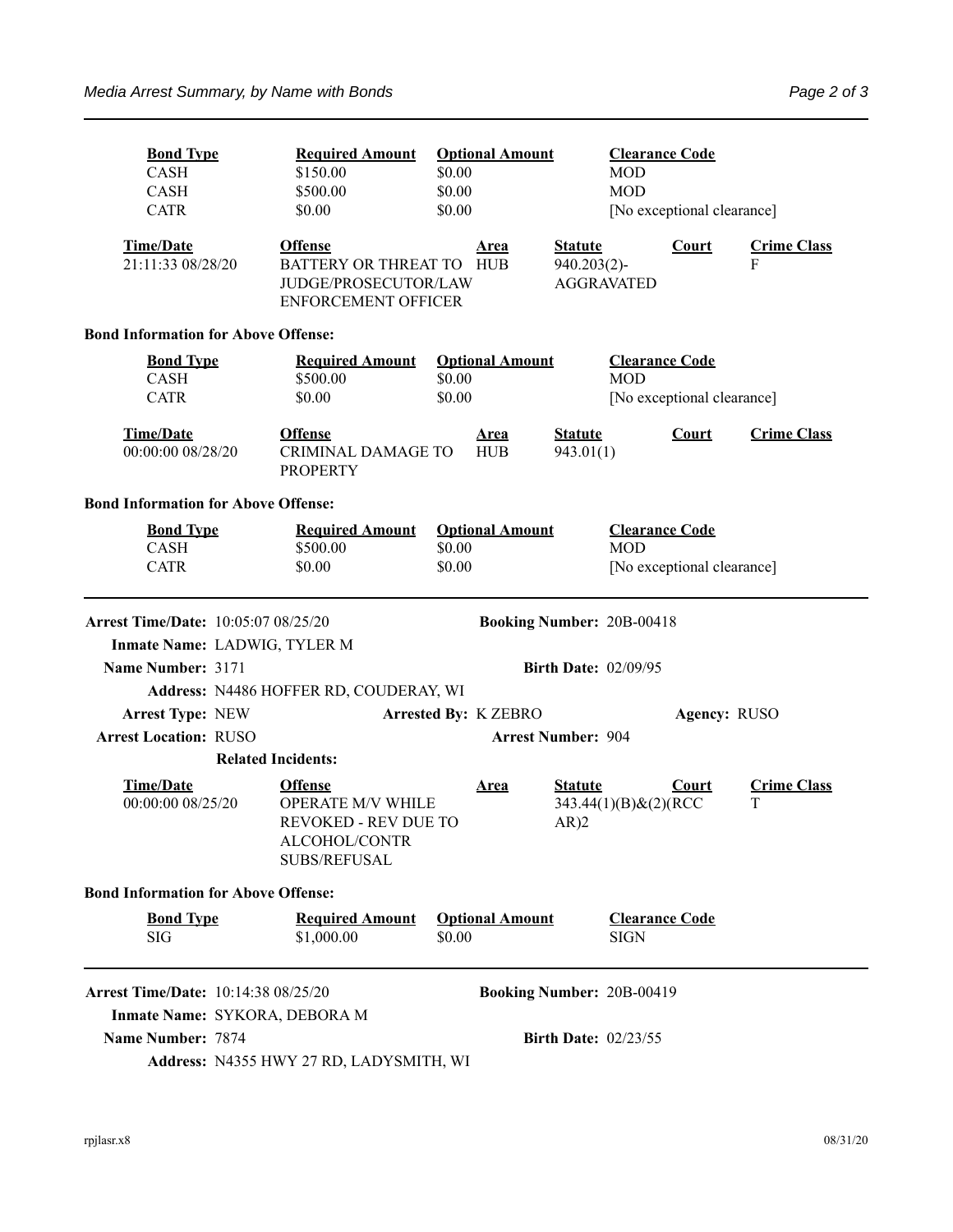| <b>Bond Type</b><br><b>CASH</b><br><b>CASH</b><br><b>CATR</b>                                                   | <b>Required Amount</b><br>\$150.00<br>\$500.00<br>\$0.00                                                          | <b>Optional Amount</b><br>\$0.00<br>\$0.00<br>\$0.00 |                                  | <b>Clearance Code</b><br><b>MOD</b><br><b>MOD</b><br>[No exceptional clearance] |                            |                         |  |  |
|-----------------------------------------------------------------------------------------------------------------|-------------------------------------------------------------------------------------------------------------------|------------------------------------------------------|----------------------------------|---------------------------------------------------------------------------------|----------------------------|-------------------------|--|--|
| <b>Time/Date</b><br>21:11:33 08/28/20                                                                           | <b>Offense</b><br>BATTERY OR THREAT TO HUB<br>JUDGE/PROSECUTOR/LAW<br><b>ENFORCEMENT OFFICER</b>                  | Area                                                 | <b>Statute</b><br>$940.203(2)$ - | <b>AGGRAVATED</b>                                                               | <b>Court</b>               | <b>Crime Class</b><br>F |  |  |
| <b>Bond Information for Above Offense:</b>                                                                      |                                                                                                                   |                                                      |                                  |                                                                                 |                            |                         |  |  |
| <b>Bond Type</b><br><b>CASH</b><br><b>CATR</b>                                                                  | <b>Required Amount</b><br><b>Optional Amount</b><br>\$0.00<br>\$500.00<br>\$0.00<br>\$0.00                        |                                                      |                                  | <b>Clearance Code</b><br><b>MOD</b><br>[No exceptional clearance]               |                            |                         |  |  |
| <b>Time/Date</b><br>00:00:00 08/28/20                                                                           | <b>Offense</b><br><b>CRIMINAL DAMAGE TO</b><br><b>PROPERTY</b>                                                    | <b>Area</b><br><b>HUB</b>                            | <b>Statute</b><br>943.01(1)      |                                                                                 | Court                      | <b>Crime Class</b>      |  |  |
| <b>Bond Information for Above Offense:</b>                                                                      |                                                                                                                   |                                                      |                                  |                                                                                 |                            |                         |  |  |
| <b>Bond Type</b><br>CASH<br><b>CATR</b>                                                                         | <b>Required Amount</b><br>\$500.00<br>\$0.00                                                                      | <b>Optional Amount</b><br>\$0.00<br>\$0.00           |                                  | <b>Clearance Code</b><br><b>MOD</b>                                             | [No exceptional clearance] |                         |  |  |
| <b>Arrest Time/Date: 10:05:07 08/25/20</b><br>Inmate Name: LADWIG, TYLER M                                      |                                                                                                                   |                                                      | <b>Booking Number: 20B-00418</b> |                                                                                 |                            |                         |  |  |
| Name Number: 3171                                                                                               | <b>Birth Date: 02/09/95</b>                                                                                       |                                                      |                                  |                                                                                 |                            |                         |  |  |
|                                                                                                                 | Address: N4486 HOFFER RD, COUDERAY, WI                                                                            |                                                      |                                  |                                                                                 |                            |                         |  |  |
| <b>Arrest Type: NEW</b>                                                                                         | <b>Arrested By: K ZEBRO</b>                                                                                       |                                                      |                                  | Agency: RUSO                                                                    |                            |                         |  |  |
| <b>Arrest Location: RUSO</b><br><b>Arrest Number: 904</b>                                                       |                                                                                                                   |                                                      |                                  |                                                                                 |                            |                         |  |  |
|                                                                                                                 | <b>Related Incidents:</b>                                                                                         |                                                      |                                  |                                                                                 |                            |                         |  |  |
| <b>Time/Date</b><br>00:00:00 08/25/20                                                                           | <b>Offense</b><br><b>OPERATE M/V WHILE</b><br><b>REVOKED - REV DUE TO</b><br>ALCOHOL/CONTR<br><b>SUBS/REFUSAL</b> | <b>Area</b>                                          | <b>Statute</b><br>AR)2           | 343.44(1)(B)&(2)(RCC                                                            | Court                      | <b>Crime Class</b><br>T |  |  |
| <b>Bond Information for Above Offense:</b>                                                                      |                                                                                                                   |                                                      |                                  |                                                                                 |                            |                         |  |  |
| <b>Bond Type</b><br>SIG                                                                                         | <b>Required Amount</b><br>\$1,000.00                                                                              | <b>Optional Amount</b><br>\$0.00                     |                                  | <b>Clearance Code</b><br><b>SIGN</b>                                            |                            |                         |  |  |
| <b>Arrest Time/Date: 10:14:38 08/25/20</b><br><b>Booking Number: 20B-00419</b><br>Inmate Name: SYKORA, DEBORA M |                                                                                                                   |                                                      |                                  |                                                                                 |                            |                         |  |  |
| <b>Name Number: 7874</b><br><b>Birth Date: 02/23/55</b><br>Address: N4355 HWY 27 RD, LADYSMITH, WI              |                                                                                                                   |                                                      |                                  |                                                                                 |                            |                         |  |  |